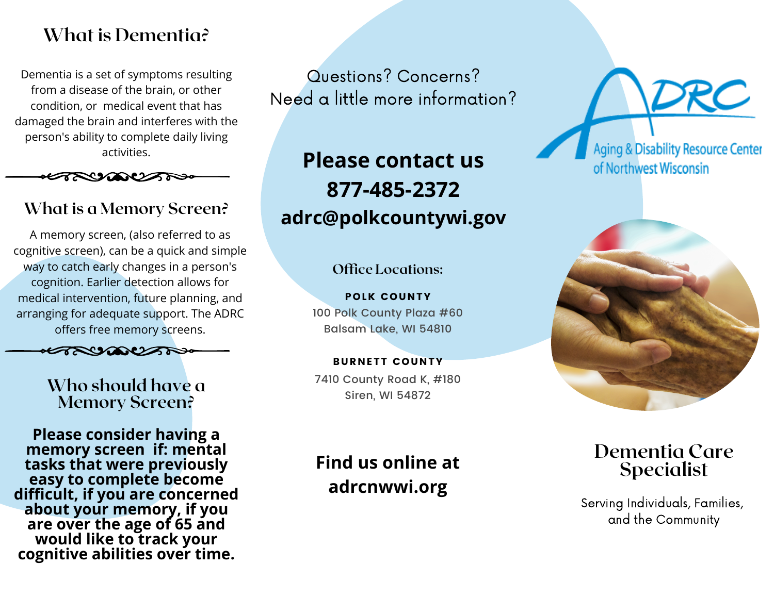## **What is Dementia?**

Dementia is a set of symptoms resulting from a disease of the brain, or other condition, or medical event that has damaged the brain and interferes with the person's ability to complete daily living activities.



## **What is a Memory Screen?**

A memory screen, (also referred to as cognitive screen), can be a quick and simple way to catch early changes in a person's cognition. Earlier detection allows for medical intervention, future planning, and arranging for adequate support. The ADRC offers free memory screens.



#### **Who should have a Memory Screen?**

**Please consider having a memory screen if: mental tasks that were previously easy to complete become difficult, if you are concerned about your memory, if you are over the age of 65 and would like to track your cognitive abilities over time.**

Questions? Concerns? Need a little more information?

**Please contact us 877-485-2372 adrc@polkcountywi.gov**

**Office Locations:**

100 Polk County Plaza #60 Balsam Lake, WI 54810 POLK COUNTY

7410 County Road K, #180 Siren, WI 54872 BURNETT COUNTY

# **Find us online at adrcnwwi.org**

Aging & Disability Resource Center of Northwest Wisconsin



## **Dementia Care Specialist**

Serving Individuals, Families, and the Community